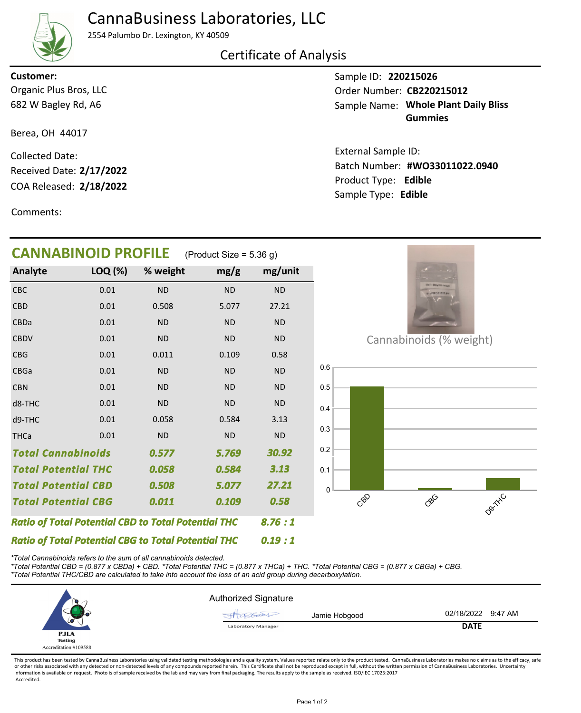# CannaBusiness Laboratories, LLC

2554 Palumbo Dr. Lexington, KY 40509

### Certificate of Analysis

682 W Bagley Rd, A6 Organic Plus Bros, LLC **Customer:**

Berea, OH 44017

COA Released: Collected Date: Received Date: **2/17/2022**

Comments:

Sample ID: **220215026 Whole Plant Daily Bliss** Sample Name: **Gummies** Order Number: CB220215012

Product Type: **Edible 2/18/2022 #WO33011022.0940** Batch Number: External Sample ID: Sample Type: **Edible**

| <b>CANNABINOID PROFILE</b>                                 |         |           | (Product Size = $5.36$ g) |           |                         |
|------------------------------------------------------------|---------|-----------|---------------------------|-----------|-------------------------|
| Analyte                                                    | LOQ (%) | % weight  | mg/g                      | mg/unit   |                         |
| <b>CBC</b>                                                 | 0.01    | <b>ND</b> | <b>ND</b>                 | <b>ND</b> |                         |
| <b>CBD</b>                                                 | 0.01    | 0.508     | 5.077                     | 27.21     |                         |
| CBDa                                                       | 0.01    | <b>ND</b> | <b>ND</b>                 | <b>ND</b> |                         |
| <b>CBDV</b>                                                | 0.01    | <b>ND</b> | <b>ND</b>                 | <b>ND</b> | Cannabinoids (% weight) |
| CBG                                                        | 0.01    | 0.011     | 0.109                     | 0.58      |                         |
| <b>CBGa</b>                                                | 0.01    | <b>ND</b> | <b>ND</b>                 | <b>ND</b> | 0.6                     |
| <b>CBN</b>                                                 | 0.01    | <b>ND</b> | <b>ND</b>                 | <b>ND</b> | 0.5                     |
| d8-THC                                                     | 0.01    | <b>ND</b> | <b>ND</b>                 | <b>ND</b> | 0.4                     |
| d9-THC                                                     | 0.01    | 0.058     | 0.584                     | 3.13      |                         |
| <b>THCa</b>                                                | 0.01    | <b>ND</b> | <b>ND</b>                 | <b>ND</b> | 0.3                     |
| <b>Total Cannabinoids</b>                                  |         | 0.577     | 5.769                     | 30.92     | 0.2                     |
| <b>Total Potential THC</b>                                 |         | 0.058     | 0.584                     | 3.13      | 0.1                     |
| <b>Total Potential CBD</b>                                 |         | 0.508     | 5.077                     | 27.21     | 0                       |
| <b>Total Potential CBG</b>                                 |         | 0.011     | 0.109                     | 0.58      | Danityc<br>cop<br>coco  |
| <b>Ratio of Total Potential CBD to Total Potential THC</b> |         |           |                           | 8.76:1    |                         |
| <b>Ratio of Total Potential CBG to Total Potential THC</b> |         |           |                           | 0.19:1    |                         |

*\*Total Cannabinoids refers to the sum of all cannabinoids detected.*

*\*Total Potential CBD = (0.877 x CBDa) + CBD. \*Total Potential THC = (0.877 x THCa) + THC. \*Total Potential CBG = (0.877 x CBGa) + CBG. \*Total Potential THC/CBD are calculated to take into account the loss of an acid group during decarboxylation.*

|                        | <b>Authorized Signature</b> |               |                    |  |
|------------------------|-----------------------------|---------------|--------------------|--|
|                        |                             | Jamie Hobgood | 02/18/2022 9:47 AM |  |
|                        | <b>Laboratory Manager</b>   |               | <b>DATE</b>        |  |
| <b>PJLA</b><br>Testing |                             |               |                    |  |
| Accreditation #109588  |                             |               |                    |  |

This product has been tested by CannaBusiness Laboratories using validated testing methodologies and a quality system. Values reported relate only to the product tested. CannaBusiness Laboratories makes no claims as to the or other risks associated with any detected or non-detected levels of any compounds reported herein. This Certificate shall not be reproduced except in full, without the written permission of CannaBusiness Laboratories. Un information is available on request. Photo is of sample received by the lab and may vary from final packaging. The results apply to the sample as received. ISO/IEC 17025:2017 Accredited.